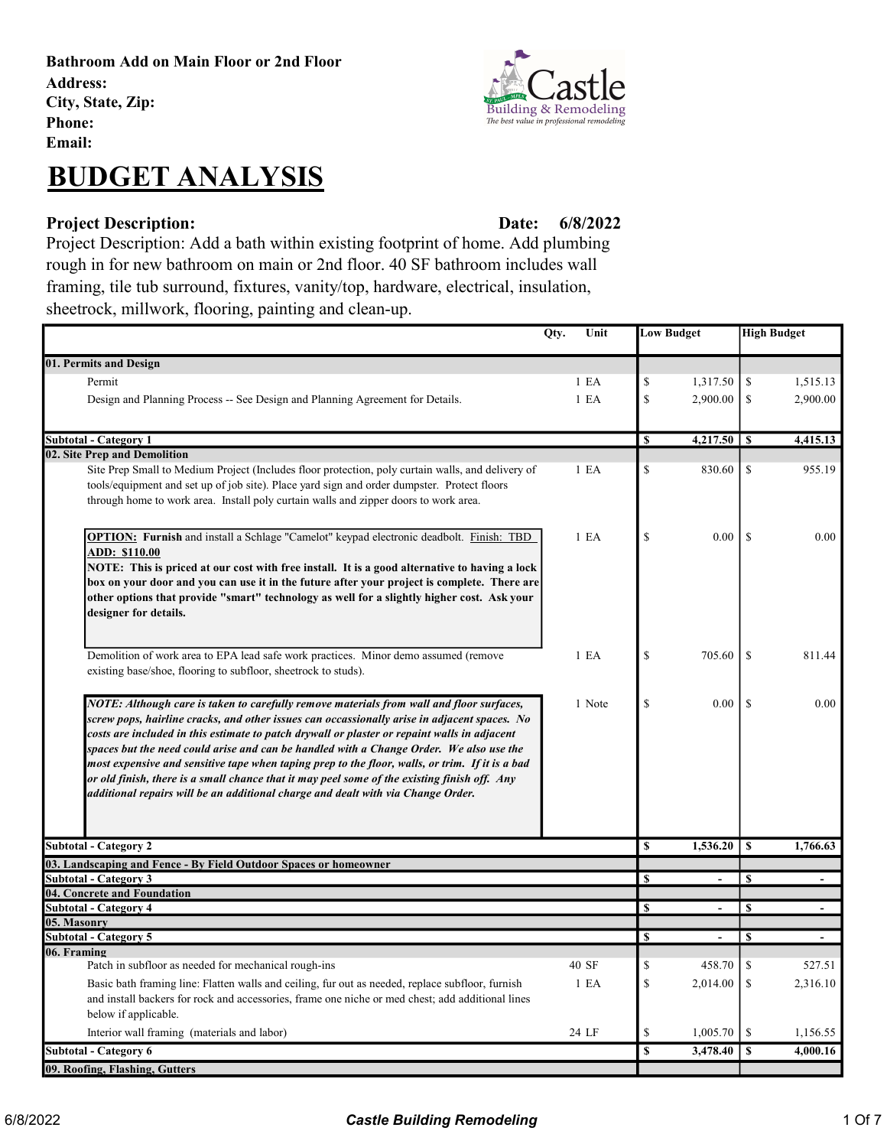Bathroom Add on Main Floor or 2nd Floor Address: City, State, Zip: Phone:

Email:

# BUDGET ANALYSIS

### Project Description: Date:

6/8/2022

Project Description: Add a bath within existing footprint of home. Add plumbing rough in for new bathroom on main or 2nd floor. 40 SF bathroom includes wall framing, tile tub surround, fixtures, vanity/top, hardware, electrical, insulation, sheetrock, millwork, flooring, painting and clean-up.

|                                                                                                                                                                                                                                                                                                                                                                                                                                                                                                                                                                                                                                                                            | Qty.<br>Unit |                         | <b>Low Budget</b> |               | <b>High Budget</b> |
|----------------------------------------------------------------------------------------------------------------------------------------------------------------------------------------------------------------------------------------------------------------------------------------------------------------------------------------------------------------------------------------------------------------------------------------------------------------------------------------------------------------------------------------------------------------------------------------------------------------------------------------------------------------------------|--------------|-------------------------|-------------------|---------------|--------------------|
| 01. Permits and Design                                                                                                                                                                                                                                                                                                                                                                                                                                                                                                                                                                                                                                                     |              |                         |                   |               |                    |
| Permit                                                                                                                                                                                                                                                                                                                                                                                                                                                                                                                                                                                                                                                                     | 1 E A        | $\mathbb{S}$            | 1,317.50          | \$            | 1,515.13           |
| Design and Planning Process -- See Design and Planning Agreement for Details.                                                                                                                                                                                                                                                                                                                                                                                                                                                                                                                                                                                              | 1 E A        | \$                      | 2,900.00          | \$            | 2,900.00           |
|                                                                                                                                                                                                                                                                                                                                                                                                                                                                                                                                                                                                                                                                            |              |                         |                   |               |                    |
| <b>Subtotal - Category 1</b>                                                                                                                                                                                                                                                                                                                                                                                                                                                                                                                                                                                                                                               |              | \$                      | 4,217.50          | \$            | 4,415.13           |
| 02. Site Prep and Demolition                                                                                                                                                                                                                                                                                                                                                                                                                                                                                                                                                                                                                                               |              |                         |                   |               |                    |
| Site Prep Small to Medium Project (Includes floor protection, poly curtain walls, and delivery of<br>tools/equipment and set up of job site). Place yard sign and order dumpster. Protect floors<br>through home to work area. Install poly curtain walls and zipper doors to work area.                                                                                                                                                                                                                                                                                                                                                                                   | 1 E A        | $\mathbb{S}$            | 830.60            | <sup>\$</sup> | 955.19             |
| <b>OPTION: Furnish</b> and install a Schlage "Camelot" keypad electronic deadbolt. Finish: TBD<br>ADD: \$110.00<br>NOTE: This is priced at our cost with free install. It is a good alternative to having a lock<br>box on your door and you can use it in the future after your project is complete. There are<br>other options that provide "smart" technology as well for a slightly higher cost. Ask your<br>designer for details.                                                                                                                                                                                                                                     | 1 E A        | $\mathbb{S}$            | 0.00              | <sup>\$</sup> | 0.00               |
| Demolition of work area to EPA lead safe work practices. Minor demo assumed (remove<br>existing base/shoe, flooring to subfloor, sheetrock to studs).                                                                                                                                                                                                                                                                                                                                                                                                                                                                                                                      | 1 E A        | \$                      | 705.60            | \$            | 811.44             |
| NOTE: Although care is taken to carefully remove materials from wall and floor surfaces,<br>screw pops, hairline cracks, and other issues can occassionally arise in adjacent spaces. No<br>costs are included in this estimate to patch drywall or plaster or repaint walls in adjacent<br>spaces but the need could arise and can be handled with a Change Order. We also use the<br>most expensive and sensitive tape when taping prep to the floor, walls, or trim. If it is a bad<br>or old finish, there is a small chance that it may peel some of the existing finish off. Any<br>additional repairs will be an additional charge and dealt with via Change Order. | 1 Note       | $\mathbf S$             | 0.00              | $\mathcal{S}$ | 0.00               |
| <b>Subtotal - Category 2</b>                                                                                                                                                                                                                                                                                                                                                                                                                                                                                                                                                                                                                                               |              | $\overline{\mathbf{s}}$ | 1,536.20          | \$            | 1,766.63           |
| 03. Landscaping and Fence - By Field Outdoor Spaces or homeowner                                                                                                                                                                                                                                                                                                                                                                                                                                                                                                                                                                                                           |              |                         |                   |               |                    |
| <b>Subtotal - Category 3</b>                                                                                                                                                                                                                                                                                                                                                                                                                                                                                                                                                                                                                                               |              | $\mathbf S$             |                   | $\mathbf S$   |                    |
| 04. Concrete and Foundation                                                                                                                                                                                                                                                                                                                                                                                                                                                                                                                                                                                                                                                |              | \$                      | ÷.                | \$            |                    |
| <b>Subtotal - Category 4</b><br>05. Masonry                                                                                                                                                                                                                                                                                                                                                                                                                                                                                                                                                                                                                                |              |                         |                   |               |                    |
| <b>Subtotal - Category 5</b>                                                                                                                                                                                                                                                                                                                                                                                                                                                                                                                                                                                                                                               |              | S                       |                   | S             |                    |
| 06. Framing                                                                                                                                                                                                                                                                                                                                                                                                                                                                                                                                                                                                                                                                |              |                         |                   |               |                    |
| Patch in subfloor as needed for mechanical rough-ins                                                                                                                                                                                                                                                                                                                                                                                                                                                                                                                                                                                                                       | 40 SF        | \$                      | 458.70            | \$            | 527.51             |
| Basic bath framing line: Flatten walls and ceiling, fur out as needed, replace subfloor, furnish<br>and install backers for rock and accessories, frame one niche or med chest; add additional lines<br>below if applicable.                                                                                                                                                                                                                                                                                                                                                                                                                                               | 1 E A        | $\mathbf S$             | 2,014.00          | \$            | 2,316.10           |
| Interior wall framing (materials and labor)                                                                                                                                                                                                                                                                                                                                                                                                                                                                                                                                                                                                                                | 24 LF        | $\mathbb{S}$            | 1,005.70          | \$            | 1,156.55           |
| Subtotal - Category 6                                                                                                                                                                                                                                                                                                                                                                                                                                                                                                                                                                                                                                                      |              | $\overline{\mathbf{s}}$ | 3,478.40          | \$            | 4,000.16           |
| 09. Roofing, Flashing, Gutters                                                                                                                                                                                                                                                                                                                                                                                                                                                                                                                                                                                                                                             |              |                         |                   |               |                    |

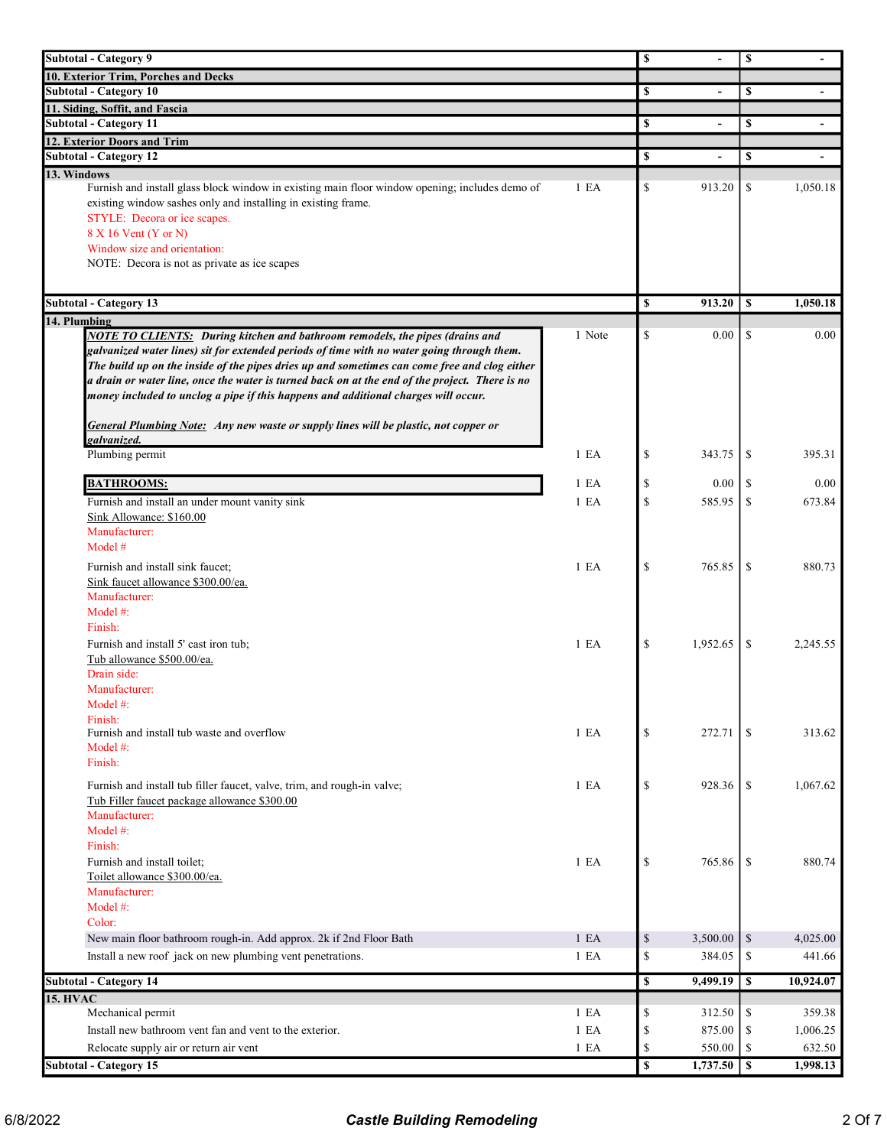| <b>Subtotal - Category 9</b>                                                                   |                  | $\mathbf s$             |                          | \$         |                |
|------------------------------------------------------------------------------------------------|------------------|-------------------------|--------------------------|------------|----------------|
| 10. Exterior Trim, Porches and Decks                                                           |                  |                         |                          |            |                |
| <b>Subtotal - Category 10</b>                                                                  |                  | \$                      |                          | \$         |                |
| 11. Siding, Soffit, and Fascia                                                                 |                  |                         |                          |            |                |
| <b>Subtotal - Category 11</b>                                                                  |                  | \$                      |                          | \$         |                |
| 12. Exterior Doors and Trim                                                                    |                  |                         |                          |            |                |
| <b>Subtotal - Category 12</b>                                                                  |                  | \$                      | $\overline{\phantom{a}}$ | \$         | $\blacksquare$ |
| 13. Windows                                                                                    |                  |                         |                          |            |                |
| Furnish and install glass block window in existing main floor window opening; includes demo of | 1 E A            | \$                      | 913.20                   | \$         | 1,050.18       |
| existing window sashes only and installing in existing frame.                                  |                  |                         |                          |            |                |
| STYLE: Decora or ice scapes.                                                                   |                  |                         |                          |            |                |
| 8 X 16 Vent (Y or N)                                                                           |                  |                         |                          |            |                |
| Window size and orientation:<br>NOTE: Decora is not as private as ice scapes                   |                  |                         |                          |            |                |
|                                                                                                |                  |                         |                          |            |                |
|                                                                                                |                  |                         |                          |            |                |
| <b>Subtotal - Category 13</b>                                                                  |                  | \$                      | 913.20                   | S          | 1,050.18       |
| 14. Plumbing                                                                                   |                  |                         |                          |            |                |
| <b>NOTE TO CLIENTS:</b> During kitchen and bathroom remodels, the pipes (drains and            | 1 Note           | \$                      | 0.00                     | \$         | $0.00\,$       |
| galvanized water lines) sit for extended periods of time with no water going through them.     |                  |                         |                          |            |                |
| The build up on the inside of the pipes dries up and sometimes can come free and clog either   |                  |                         |                          |            |                |
| a drain or water line, once the water is turned back on at the end of the project. There is no |                  |                         |                          |            |                |
| money included to unclog a pipe if this happens and additional charges will occur.             |                  |                         |                          |            |                |
| General Plumbing Note: Any new waste or supply lines will be plastic, not copper or            |                  |                         |                          |            |                |
| galvanized.                                                                                    |                  |                         |                          |            |                |
| Plumbing permit                                                                                | 1 E A            | \$                      | 343.75                   | \$         | 395.31         |
|                                                                                                |                  |                         |                          |            |                |
| <b>BATHROOMS:</b>                                                                              | 1 E <sub>A</sub> | \$                      | 0.00                     | \$         | $0.00\,$       |
| Furnish and install an under mount vanity sink                                                 | 1 E A            | \$                      | 585.95                   | \$         | 673.84         |
| Sink Allowance: \$160.00                                                                       |                  |                         |                          |            |                |
| Manufacturer:                                                                                  |                  |                         |                          |            |                |
| Model #                                                                                        |                  |                         |                          |            |                |
| Furnish and install sink faucet;                                                               | 1 E <sub>A</sub> | \$                      | 765.85                   | \$         | 880.73         |
| Sink faucet allowance \$300.00/ea.                                                             |                  |                         |                          |            |                |
| Manufacturer:                                                                                  |                  |                         |                          |            |                |
| Model $#$ :                                                                                    |                  |                         |                          |            |                |
| Finish:                                                                                        |                  |                         |                          |            |                |
| Furnish and install 5' cast iron tub;                                                          | 1 E A            | \$                      | 1,952.65                 | \$         | 2,245.55       |
| Tub allowance \$500.00/ea.                                                                     |                  |                         |                          |            |                |
| Drain side:                                                                                    |                  |                         |                          |            |                |
| Manufacturer:                                                                                  |                  |                         |                          |            |                |
| Model #:                                                                                       |                  |                         |                          |            |                |
| Finish:                                                                                        |                  | \$                      |                          |            |                |
| Furnish and install tub waste and overflow<br>Model $#$ :                                      | 1 E A            |                         | 272.71                   | \$         | 313.62         |
| Finish:                                                                                        |                  |                         |                          |            |                |
|                                                                                                |                  |                         |                          |            |                |
| Furnish and install tub filler faucet, valve, trim, and rough-in valve;                        | 1 E A            | \$                      | 928.36                   | -S         | 1,067.62       |
| Tub Filler faucet package allowance \$300.00                                                   |                  |                         |                          |            |                |
| Manufacturer:                                                                                  |                  |                         |                          |            |                |
| Model #:                                                                                       |                  |                         |                          |            |                |
| Finish:<br>Furnish and install toilet:                                                         |                  | \$                      |                          |            |                |
| Toilet allowance \$300.00/ea.                                                                  | 1 E A            |                         | 765.86                   | \$         | 880.74         |
| Manufacturer:                                                                                  |                  |                         |                          |            |                |
| Model #:                                                                                       |                  |                         |                          |            |                |
| Color:                                                                                         |                  |                         |                          |            |                |
| New main floor bathroom rough-in. Add approx. 2k if 2nd Floor Bath                             | 1 E A            | $\mathbb{S}$            | 3,500.00                 | \$         | 4,025.00       |
| Install a new roof jack on new plumbing vent penetrations.                                     | 1 E A            | \$                      | 384.05                   | \$         | 441.66         |
|                                                                                                |                  |                         |                          |            |                |
| <b>Subtotal - Category 14</b>                                                                  |                  | \$                      | 9,499.19                 | \$         | 10,924.07      |
| <b>15. HVAC</b>                                                                                |                  |                         |                          |            |                |
| Mechanical permit                                                                              | 1 E A            | \$                      | 312.50                   | \$         | 359.38         |
| Install new bathroom vent fan and vent to the exterior.                                        | 1 E A            | \$                      | 875.00                   | \$         | 1,006.25       |
| Relocate supply air or return air vent                                                         | 1 E A            | \$                      | 550.00                   | \$         | 632.50         |
| <b>Subtotal - Category 15</b>                                                                  |                  | $\overline{\mathbf{s}}$ | 1,737.50                 | $\sqrt{s}$ | 1,998.13       |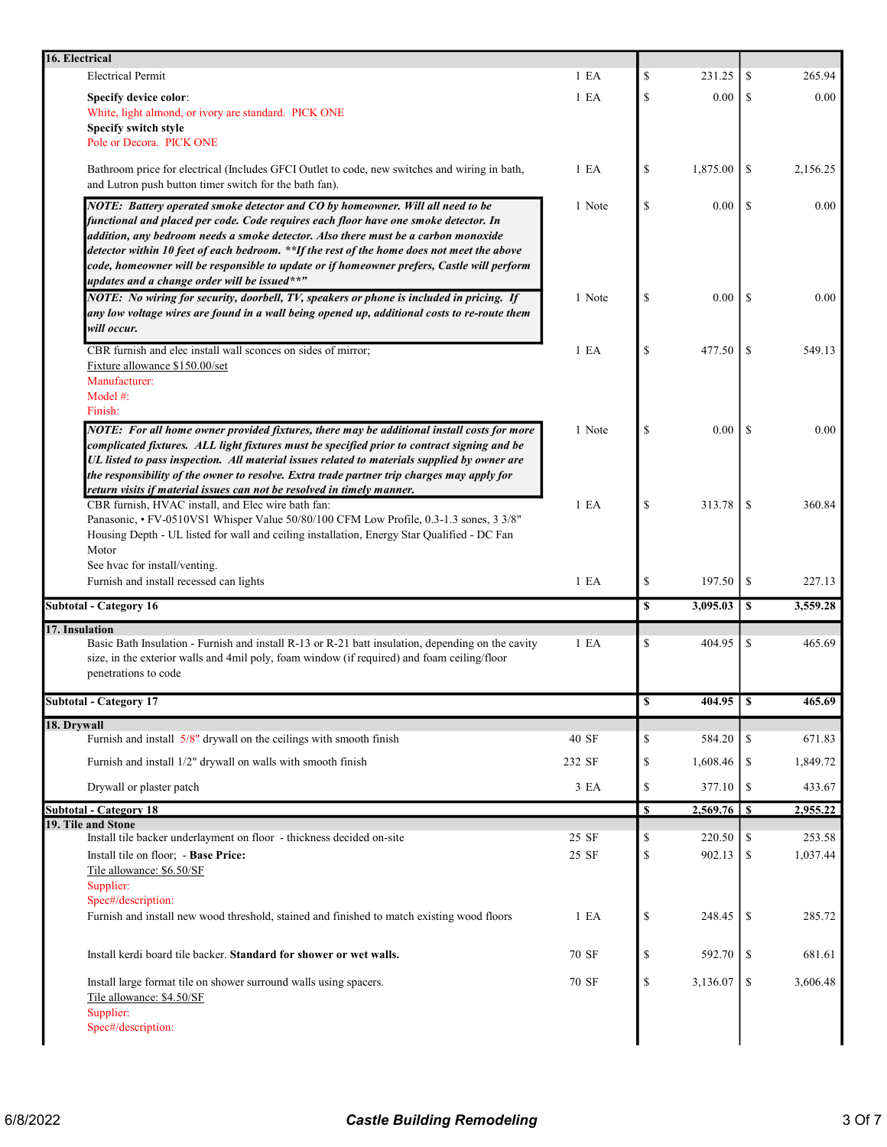| 16. Electrical                                                                                                                                                                                                                                                                                                                                                                                                                                                                                           |                  |    |          |               |          |
|----------------------------------------------------------------------------------------------------------------------------------------------------------------------------------------------------------------------------------------------------------------------------------------------------------------------------------------------------------------------------------------------------------------------------------------------------------------------------------------------------------|------------------|----|----------|---------------|----------|
| <b>Electrical Permit</b>                                                                                                                                                                                                                                                                                                                                                                                                                                                                                 | 1 E <sub>A</sub> | \$ | 231.25   | \$            | 265.94   |
| <b>Specify device color:</b>                                                                                                                                                                                                                                                                                                                                                                                                                                                                             | 1 E <sub>A</sub> | \$ | 0.00     | S             | 0.00     |
| White, light almond, or ivory are standard. PICK ONE                                                                                                                                                                                                                                                                                                                                                                                                                                                     |                  |    |          |               |          |
| Specify switch style<br>Pole or Decora. PICK ONE                                                                                                                                                                                                                                                                                                                                                                                                                                                         |                  |    |          |               |          |
|                                                                                                                                                                                                                                                                                                                                                                                                                                                                                                          |                  |    |          |               |          |
| Bathroom price for electrical (Includes GFCI Outlet to code, new switches and wiring in bath,<br>and Lutron push button timer switch for the bath fan).                                                                                                                                                                                                                                                                                                                                                  | 1 E <sub>A</sub> | \$ | 1,875.00 | \$            | 2,156.25 |
| NOTE: Battery operated smoke detector and CO by homeowner. Will all need to be<br>functional and placed per code. Code requires each floor have one smoke detector. In<br>addition, any bedroom needs a smoke detector. Also there must be a carbon monoxide<br>detector within 10 feet of each bedroom. **If the rest of the home does not meet the above<br>code, homeowner will be responsible to update or if homeowner prefers, Castle will perform<br>updates and a change order will be issued**" | 1 Note           | \$ | 0.00     | <sup>\$</sup> | 0.00     |
| NOTE: No wiring for security, doorbell, TV, speakers or phone is included in pricing. If<br>any low voltage wires are found in a wall being opened up, additional costs to re-route them<br>will occur.                                                                                                                                                                                                                                                                                                  | 1 Note           | \$ | 0.00     | <sup>\$</sup> | 0.00     |
| CBR furnish and elec install wall sconces on sides of mirror;<br>Fixture allowance \$150.00/set<br>Manufacturer:                                                                                                                                                                                                                                                                                                                                                                                         | 1 E A            | \$ | 477.50   | <sup>\$</sup> | 549.13   |
| Model #:<br>Finish:                                                                                                                                                                                                                                                                                                                                                                                                                                                                                      |                  |    |          |               |          |
| NOTE: For all home owner provided fixtures, there may be additional install costs for more<br>complicated fixtures. ALL light fixtures must be specified prior to contract signing and be<br>UL listed to pass inspection. All material issues related to materials supplied by owner are<br>the responsibility of the owner to resolve. Extra trade partner trip charges may apply for<br>return visits if material issues can not be resolved in timely manner.                                        | 1 Note           | \$ | 0.00     | <sup>\$</sup> | 0.00     |
| CBR furnish, HVAC install, and Elec wire bath fan:<br>Panasonic, • FV-0510VS1 Whisper Value 50/80/100 CFM Low Profile, 0.3-1.3 sones, 3 3/8"<br>Housing Depth - UL listed for wall and ceiling installation, Energy Star Qualified - DC Fan<br>Motor                                                                                                                                                                                                                                                     | 1 E A            | \$ | 313.78   | \$            | 360.84   |
| See hvac for install/venting.<br>Furnish and install recessed can lights                                                                                                                                                                                                                                                                                                                                                                                                                                 | 1 E A            | \$ | 197.50   | \$            | 227.13   |
| <b>Subtotal - Category 16</b>                                                                                                                                                                                                                                                                                                                                                                                                                                                                            |                  | \$ | 3,095.03 | \$            | 3,559.28 |
| 17. Insulation<br>Basic Bath Insulation - Furnish and install R-13 or R-21 batt insulation, depending on the cavity<br>size, in the exterior walls and 4mil poly, foam window (if required) and foam ceiling/floor<br>penetrations to code                                                                                                                                                                                                                                                               | 1 E A            | \$ | 404.95   | \$            | 465.69   |
| <b>Subtotal - Category 17</b>                                                                                                                                                                                                                                                                                                                                                                                                                                                                            |                  | Ф  |          |               | 465.69   |
| 18. Drywall                                                                                                                                                                                                                                                                                                                                                                                                                                                                                              |                  |    |          |               |          |
| Furnish and install 5/8" drywall on the ceilings with smooth finish                                                                                                                                                                                                                                                                                                                                                                                                                                      | 40 SF            | \$ | 584.20   | $\mathbb{S}$  | 671.83   |
| Furnish and install 1/2" drywall on walls with smooth finish                                                                                                                                                                                                                                                                                                                                                                                                                                             | 232 SF           | \$ | 1,608.46 | -S            | 1,849.72 |
| Drywall or plaster patch                                                                                                                                                                                                                                                                                                                                                                                                                                                                                 | 3 EA             | \$ | 377.10   | $\mathbb{S}$  | 433.67   |
| <b>Subtotal - Category 18</b>                                                                                                                                                                                                                                                                                                                                                                                                                                                                            |                  | \$ |          |               | 2,955.22 |
| 19. Tile and Stone                                                                                                                                                                                                                                                                                                                                                                                                                                                                                       |                  |    |          |               |          |
| Install tile backer underlayment on floor - thickness decided on-site                                                                                                                                                                                                                                                                                                                                                                                                                                    | 25 SF            | \$ | 220.50   | \$            | 253.58   |
| Install tile on floor; - Base Price:<br>Tile allowance: \$6.50/SF<br>Supplier:                                                                                                                                                                                                                                                                                                                                                                                                                           | 25 SF            | \$ | 902.13   | \$            | 1,037.44 |
| Spec#/description:<br>Furnish and install new wood threshold, stained and finished to match existing wood floors                                                                                                                                                                                                                                                                                                                                                                                         | 1 E A            | \$ | 248.45   | $\mathbb{S}$  | 285.72   |
| Install kerdi board tile backer. Standard for shower or wet walls.                                                                                                                                                                                                                                                                                                                                                                                                                                       | 70 SF            | \$ | 592.70   | \$            | 681.61   |
| Install large format tile on shower surround walls using spacers.<br>Tile allowance: \$4.50/SF<br>Supplier:                                                                                                                                                                                                                                                                                                                                                                                              | 70 SF            | \$ | 3,136.07 | $\mathbb{S}$  | 3,606.48 |
| Spec#/description:                                                                                                                                                                                                                                                                                                                                                                                                                                                                                       |                  |    |          |               |          |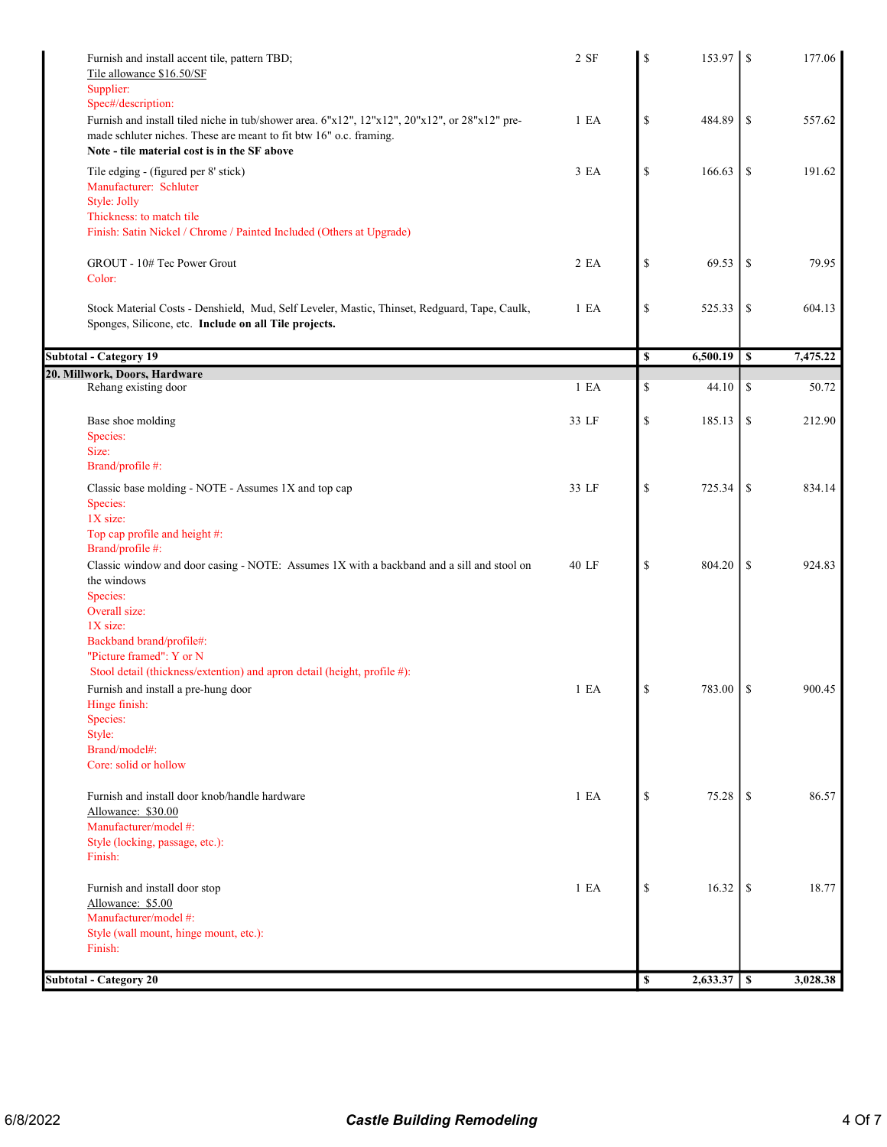| Furnish and install accent tile, pattern TBD;<br>Tile allowance \$16.50/SF<br>Supplier:                                                                                                                                                   | 2 SF             | \$          |          |                 | 177.06   |
|-------------------------------------------------------------------------------------------------------------------------------------------------------------------------------------------------------------------------------------------|------------------|-------------|----------|-----------------|----------|
| Spec#/description:<br>Furnish and install tiled niche in tub/shower area. 6"x12", 12"x12", 20"x12", or 28"x12" pre-<br>made schluter niches. These are meant to fit btw 16" o.c. framing.<br>Note - tile material cost is in the SF above | 1 E A            | \$          | 484.89   | \$              | 557.62   |
| Tile edging - (figured per 8' stick)<br>Manufacturer: Schluter<br>Style: Jolly<br>Thickness: to match tile                                                                                                                                | 3 EA             | \$          | 166.63   | \$              | 191.62   |
| Finish: Satin Nickel / Chrome / Painted Included (Others at Upgrade)<br>GROUT - 10# Tec Power Grout<br>Color:                                                                                                                             | 2 EA             | \$          | 69.53    | -S              | 79.95    |
| Stock Material Costs - Denshield, Mud, Self Leveler, Mastic, Thinset, Redguard, Tape, Caulk,<br>Sponges, Silicone, etc. Include on all Tile projects.                                                                                     | 1 E A            | \$          | 525.33   | \$              | 604.13   |
| <b>Subtotal - Category 19</b>                                                                                                                                                                                                             |                  | \$          | 6,500.19 | \$              | 7,475.22 |
| 20. Millwork, Doors, Hardware                                                                                                                                                                                                             |                  |             |          |                 |          |
| Rehang existing door                                                                                                                                                                                                                      | 1 E A            | \$          | 44.10    | \$              | 50.72    |
| Base shoe molding<br>Species:<br>Size:                                                                                                                                                                                                    | 33 LF            | \$          | 185.13   | \$              | 212.90   |
| Brand/profile #:                                                                                                                                                                                                                          |                  |             |          |                 |          |
| Classic base molding - NOTE - Assumes 1X and top cap<br>Species:<br>1X size:                                                                                                                                                              | 33 LF            | \$          | 725.34   | \$              | 834.14   |
| Top cap profile and height #:<br>Brand/profile #:<br>Classic window and door casing - NOTE: Assumes 1X with a backband and a sill and stool on                                                                                            | 40 LF            | $\mathbb S$ | 804.20   | \$              | 924.83   |
| the windows<br>Species:<br>Overall size:                                                                                                                                                                                                  |                  |             |          |                 |          |
| 1X size:<br>Backband brand/profile#:<br>"Picture framed": Y or N                                                                                                                                                                          |                  |             |          |                 |          |
| Stool detail (thickness/extention) and apron detail (height, profile #):<br>Furnish and install a pre-hung door<br>Hinge finish:                                                                                                          | 1 E <sub>A</sub> | \$          | 783.00   | l \$            | 900.45   |
| Species:<br>Style:<br>Brand/model#:                                                                                                                                                                                                       |                  |             |          |                 |          |
| Core: solid or hollow                                                                                                                                                                                                                     |                  |             |          |                 |          |
| Furnish and install door knob/handle hardware<br>Allowance: \$30.00                                                                                                                                                                       | 1 E <sub>A</sub> | \$          | 75.28    | \$              | 86.57    |
| Manufacturer/model #:<br>Style (locking, passage, etc.):<br>Finish:                                                                                                                                                                       |                  |             |          |                 |          |
| Furnish and install door stop<br>Allowance: \$5.00                                                                                                                                                                                        | 1 E <sub>A</sub> | \$          | 16.32    | <sup>\$</sup>   | 18.77    |
| Manufacturer/model #:<br>Style (wall mount, hinge mount, etc.):<br>Finish:                                                                                                                                                                |                  |             |          |                 |          |
| <b>Subtotal - Category 20</b>                                                                                                                                                                                                             |                  | \$          | 2,633.37 | $\vert s \vert$ | 3,028.38 |
|                                                                                                                                                                                                                                           |                  |             |          |                 |          |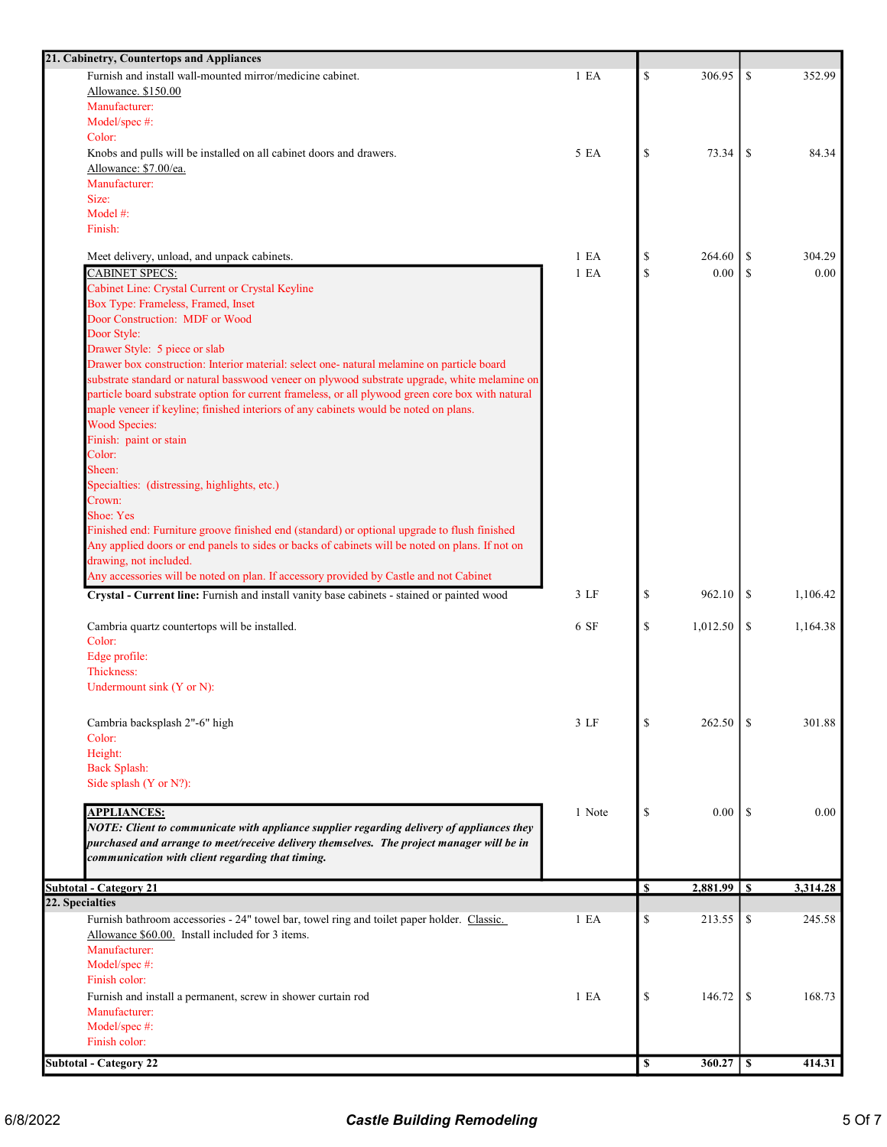| 21. Cabinetry, Countertops and Appliances                                                         |                 |             |          |               |          |
|---------------------------------------------------------------------------------------------------|-----------------|-------------|----------|---------------|----------|
| Furnish and install wall-mounted mirror/medicine cabinet.                                         | 1 E A           | \$          | 306.95   | \$            | 352.99   |
| Allowance. \$150.00                                                                               |                 |             |          |               |          |
| Manufacturer:                                                                                     |                 |             |          |               |          |
| Model/spec #:                                                                                     |                 |             |          |               |          |
| Color:                                                                                            |                 |             |          |               |          |
| Knobs and pulls will be installed on all cabinet doors and drawers.                               | 5 EA            | \$          | 73.34    | <sup>\$</sup> | 84.34    |
| Allowance: \$7.00/ea.                                                                             |                 |             |          |               |          |
| Manufacturer:                                                                                     |                 |             |          |               |          |
| Size:                                                                                             |                 |             |          |               |          |
| Model #:                                                                                          |                 |             |          |               |          |
| Finish:                                                                                           |                 |             |          |               |          |
|                                                                                                   |                 |             |          |               |          |
| Meet delivery, unload, and unpack cabinets.                                                       | 1 E A           | \$          | 264.60   | <sup>\$</sup> | 304.29   |
| <b>CABINET SPECS:</b>                                                                             | 1 E A           | \$          | 0.00     | \$            | 0.00     |
| Cabinet Line: Crystal Current or Crystal Keyline                                                  |                 |             |          |               |          |
| Box Type: Frameless, Framed, Inset                                                                |                 |             |          |               |          |
| Door Construction: MDF or Wood                                                                    |                 |             |          |               |          |
| Door Style:                                                                                       |                 |             |          |               |          |
| Drawer Style: 5 piece or slab                                                                     |                 |             |          |               |          |
| Drawer box construction: Interior material: select one- natural melamine on particle board        |                 |             |          |               |          |
| substrate standard or natural basswood veneer on plywood substrate upgrade, white melamine on     |                 |             |          |               |          |
| particle board substrate option for current frameless, or all plywood green core box with natural |                 |             |          |               |          |
| maple veneer if keyline; finished interiors of any cabinets would be noted on plans.              |                 |             |          |               |          |
| <b>Wood Species:</b>                                                                              |                 |             |          |               |          |
| Finish: paint or stain                                                                            |                 |             |          |               |          |
| Color:                                                                                            |                 |             |          |               |          |
| Sheen:                                                                                            |                 |             |          |               |          |
| Specialties: (distressing, highlights, etc.)                                                      |                 |             |          |               |          |
| Crown:                                                                                            |                 |             |          |               |          |
| Shoe: Yes                                                                                         |                 |             |          |               |          |
| Finished end: Furniture groove finished end (standard) or optional upgrade to flush finished      |                 |             |          |               |          |
| Any applied doors or end panels to sides or backs of cabinets will be noted on plans. If not on   |                 |             |          |               |          |
| drawing, not included.                                                                            |                 |             |          |               |          |
| Any accessories will be noted on plan. If accessory provided by Castle and not Cabinet            |                 |             |          |               |          |
| Crystal - Current line: Furnish and install vanity base cabinets - stained or painted wood        | $3$ LF          | \$          | 962.10   | <sup>\$</sup> | 1,106.42 |
|                                                                                                   |                 |             |          |               |          |
| Cambria quartz countertops will be installed.                                                     | 6SF             | \$          | 1,012.50 | \$            | 1,164.38 |
| Color:                                                                                            |                 |             |          |               |          |
| Edge profile:                                                                                     |                 |             |          |               |          |
| Thickness:                                                                                        |                 |             |          |               |          |
| Undermount sink (Y or N):                                                                         |                 |             |          |               |          |
|                                                                                                   |                 |             |          |               |          |
|                                                                                                   |                 |             |          |               |          |
| Cambria backsplash 2"-6" high                                                                     | 3 <sub>LF</sub> | \$          | 262.50   | \$.           | 301.88   |
| Color:                                                                                            |                 |             |          |               |          |
| Height:                                                                                           |                 |             |          |               |          |
| <b>Back Splash:</b>                                                                               |                 |             |          |               |          |
| Side splash (Y or N?):                                                                            |                 |             |          |               |          |
|                                                                                                   |                 |             |          |               |          |
| <b>APPLIANCES:</b>                                                                                | 1 Note          | \$          | 0.00     | <sup>\$</sup> | 0.00     |
| NOTE: Client to communicate with appliance supplier regarding delivery of appliances they         |                 |             |          |               |          |
| purchased and arrange to meet/receive delivery themselves. The project manager will be in         |                 |             |          |               |          |
| communication with client regarding that timing.                                                  |                 |             |          |               |          |
| <b>Subtotal - Category 21</b>                                                                     |                 | \$          | 2,881.99 | -S            | 3,314.28 |
| 22. Specialties                                                                                   |                 |             |          |               |          |
|                                                                                                   | 1 E A           | \$          | 213.55   |               | 245.58   |
| Furnish bathroom accessories - 24" towel bar, towel ring and toilet paper holder. Classic.        |                 |             |          | \$            |          |
| Allowance \$60.00. Install included for 3 items.                                                  |                 |             |          |               |          |
| Manufacturer:                                                                                     |                 |             |          |               |          |
| Model/spec #:                                                                                     |                 |             |          |               |          |
| Finish color:                                                                                     |                 |             |          |               |          |
| Furnish and install a permanent, screw in shower curtain rod                                      | 1 E A           | \$          | 146.72   | <sup>\$</sup> | 168.73   |
| Manufacturer:                                                                                     |                 |             |          |               |          |
| Model/spec #:                                                                                     |                 |             |          |               |          |
| Finish color:                                                                                     |                 |             |          |               |          |
|                                                                                                   |                 | $\mathbf s$ |          |               | 414.31   |
| <b>Subtotal - Category 22</b>                                                                     |                 |             |          |               |          |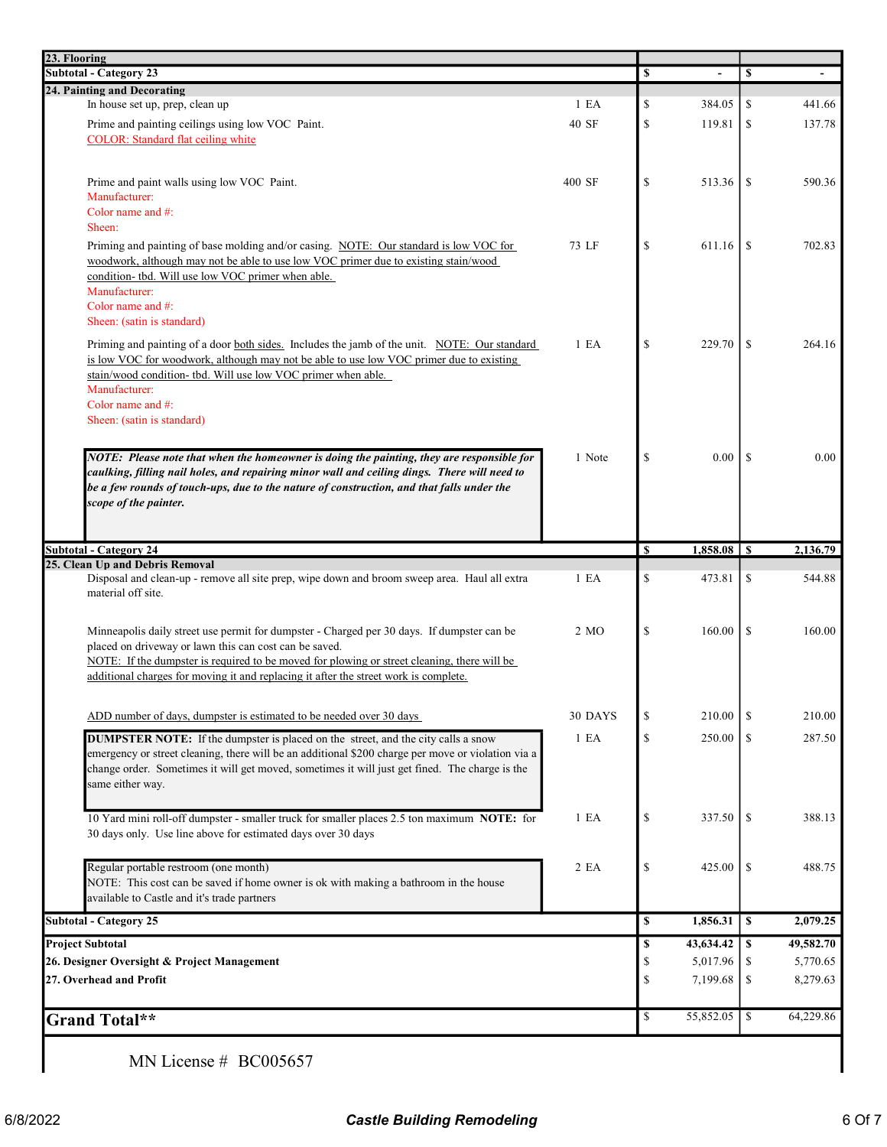| 23. Flooring<br>Subtotal - Category 23                                                                                                                                                    |                  |              |           |               |           |
|-------------------------------------------------------------------------------------------------------------------------------------------------------------------------------------------|------------------|--------------|-----------|---------------|-----------|
|                                                                                                                                                                                           |                  | \$           |           | \$            |           |
| 24. Painting and Decorating                                                                                                                                                               |                  |              |           |               |           |
| In house set up, prep, clean up                                                                                                                                                           | 1 E <sub>A</sub> | \$           | 384.05    | \$            | 441.66    |
| Prime and painting ceilings using low VOC Paint.<br><b>COLOR:</b> Standard flat ceiling white                                                                                             | 40 SF            | $\mathbb{S}$ | 119.81    | \$            | 137.78    |
|                                                                                                                                                                                           |                  |              |           |               |           |
|                                                                                                                                                                                           |                  |              |           |               |           |
| Prime and paint walls using low VOC Paint.                                                                                                                                                | 400 SF           | \$           | 513.36    | \$            | 590.36    |
| Manufacturer:<br>Color name and $#$ :                                                                                                                                                     |                  |              |           |               |           |
| Sheen:                                                                                                                                                                                    |                  |              |           |               |           |
| Priming and painting of base molding and/or casing. NOTE: Our standard is low VOC for                                                                                                     | 73 LF            | \$           | 611.16    | \$            | 702.83    |
| woodwork, although may not be able to use low VOC primer due to existing stain/wood                                                                                                       |                  |              |           |               |           |
| condition- tbd. Will use low VOC primer when able.                                                                                                                                        |                  |              |           |               |           |
| Manufacturer:                                                                                                                                                                             |                  |              |           |               |           |
| Color name and #:                                                                                                                                                                         |                  |              |           |               |           |
| Sheen: (satin is standard)                                                                                                                                                                |                  |              |           |               |           |
| Priming and painting of a door both sides. Includes the jamb of the unit. NOTE: Our standard                                                                                              | 1 E <sub>A</sub> | $\mathbb{S}$ | 229.70    | <sup>\$</sup> | 264.16    |
| is low VOC for woodwork, although may not be able to use low VOC primer due to existing                                                                                                   |                  |              |           |               |           |
| stain/wood condition- tbd. Will use low VOC primer when able.                                                                                                                             |                  |              |           |               |           |
| Manufacturer:<br>Color name and #:                                                                                                                                                        |                  |              |           |               |           |
| Sheen: (satin is standard)                                                                                                                                                                |                  |              |           |               |           |
|                                                                                                                                                                                           |                  |              |           |               |           |
|                                                                                                                                                                                           | 1 Note           | \$           | 0.00      | -S            | 0.00      |
| NOTE: Please note that when the homeowner is doing the painting, they are responsible for<br>caulking, filling nail holes, and repairing minor wall and ceiling dings. There will need to |                  |              |           |               |           |
| be a few rounds of touch-ups, due to the nature of construction, and that falls under the                                                                                                 |                  |              |           |               |           |
| scope of the painter.                                                                                                                                                                     |                  |              |           |               |           |
|                                                                                                                                                                                           |                  |              |           |               |           |
|                                                                                                                                                                                           |                  |              |           |               |           |
| <b>Subtotal - Category 24</b>                                                                                                                                                             |                  | <b>S</b>     | 1,858.08  | -S            | 2,136.79  |
| 25. Clean Up and Debris Removal<br>Disposal and clean-up - remove all site prep, wipe down and broom sweep area. Haul all extra                                                           | 1 E <sub>A</sub> | \$           | 473.81    | \$            | 544.88    |
| material off site.                                                                                                                                                                        |                  |              |           |               |           |
|                                                                                                                                                                                           |                  |              |           |               |           |
| Minneapolis daily street use permit for dumpster - Charged per 30 days. If dumpster can be                                                                                                | 2 MO             | \$           | 160.00    | \$            | 160.00    |
| placed on driveway or lawn this can cost can be saved.                                                                                                                                    |                  |              |           |               |           |
| NOTE: If the dumpster is required to be moved for plowing or street cleaning, there will be                                                                                               |                  |              |           |               |           |
| additional charges for moving it and replacing it after the street work is complete.                                                                                                      |                  |              |           |               |           |
|                                                                                                                                                                                           |                  |              |           |               |           |
| ADD number of days, dumpster is estimated to be needed over 30 days                                                                                                                       | 30 DAYS          | \$           | 210.00    | <sup>\$</sup> | 210.00    |
| <b>DUMPSTER NOTE:</b> If the dumpster is placed on the street, and the city calls a snow                                                                                                  | 1 E A            | $\mathbb{S}$ | 250.00    | \$            |           |
| emergency or street cleaning, there will be an additional \$200 charge per move or violation via a                                                                                        |                  |              |           |               | 287.50    |
| change order. Sometimes it will get moved, sometimes it will just get fined. The charge is the                                                                                            |                  |              |           |               |           |
| same either way.                                                                                                                                                                          |                  |              |           |               |           |
|                                                                                                                                                                                           |                  |              |           |               |           |
| 10 Yard mini roll-off dumpster - smaller truck for smaller places 2.5 ton maximum NOTE: for                                                                                               | 1 E A            | \$           | 337.50    | \$            | 388.13    |
| 30 days only. Use line above for estimated days over 30 days                                                                                                                              |                  |              |           |               |           |
|                                                                                                                                                                                           |                  |              |           |               |           |
| Regular portable restroom (one month)                                                                                                                                                     | 2 EA             | \$           | 425.00    | -S            | 488.75    |
| NOTE: This cost can be saved if home owner is ok with making a bathroom in the house                                                                                                      |                  |              |           |               |           |
| available to Castle and it's trade partners                                                                                                                                               |                  |              |           |               |           |
| <b>Subtotal - Category 25</b>                                                                                                                                                             |                  | \$           | 1,856.31  | $\mathbf{s}$  | 2,079.25  |
| <b>Project Subtotal</b>                                                                                                                                                                   |                  | \$           | 43,634.42 | \$            | 49,582.70 |
| 26. Designer Oversight & Project Management                                                                                                                                               |                  | \$           | 5,017.96  | \$            | 5,770.65  |
| 27. Overhead and Profit                                                                                                                                                                   |                  | \$           | 7,199.68  | \$            | 8,279.63  |
|                                                                                                                                                                                           |                  |              |           |               |           |
|                                                                                                                                                                                           |                  | \$           | 55,852.05 | \$            | 64,229.86 |
| Grand Total**                                                                                                                                                                             |                  |              |           |               |           |
|                                                                                                                                                                                           |                  |              |           |               |           |

MN License # BC005657